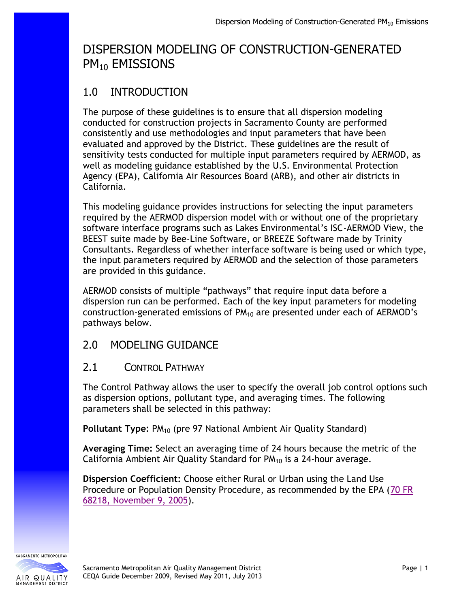# DISPERSION MODELING OF CONSTRUCTION-GENERATED PM<sub>10</sub> EMISSIONS

# 1.0 INTRODUCTION

The purpose of these guidelines is to ensure that all dispersion modeling conducted for construction projects in Sacramento County are performed consistently and use methodologies and input parameters that have been evaluated and approved by the District. These guidelines are the result of sensitivity tests conducted for multiple input parameters required by AERMOD, as well as modeling guidance established by the U.S. Environmental Protection Agency (EPA), California Air Resources Board (ARB), and other air districts in California.

This modeling guidance provides instructions for selecting the input parameters required by the AERMOD dispersion model with or without one of the proprietary software interface programs such as Lakes Environmental's ISC-AERMOD View, the BEEST suite made by Bee-Line Software, or BREEZE Software made by Trinity Consultants. Regardless of whether interface software is being used or which type, the input parameters required by AERMOD and the selection of those parameters are provided in this guidance.

AERMOD consists of multiple "pathways" that require input data before a dispersion run can be performed. Each of the key input parameters for modeling construction-generated emissions of  $PM_{10}$  are presented under each of AERMOD's pathways below.

## 2.0 MODELING GUIDANCE

### 2.1 CONTROL PATHWAY

The Control Pathway allows the user to specify the overall job control options such as dispersion options, pollutant type, and averaging times. The following parameters shall be selected in this pathway:

**Pollutant Type: PM<sub>10</sub> (pre 97 National Ambient Air Quality Standard)** 

**Averaging Time:** Select an averaging time of 24 hours because the metric of the California Ambient Air Quality Standard for  $PM_{10}$  is a 24-hour average.

**Dispersion Coefficient:** Choose either Rural or Urban using the Land Use Procedure or Population Density Procedure, as recommended by the EPA [\(70 FR](http://edocket.access.gpo.gov/2005/pdf/05-21627.pdf)  [68218, November 9, 2005\)](http://edocket.access.gpo.gov/2005/pdf/05-21627.pdf).

SACRAMENTO METROPOLITAN AIR QUALITY

**IANAGEMENT DISTRIC**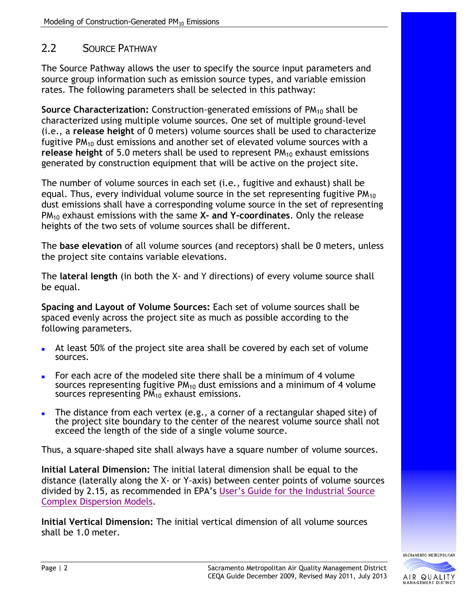#### 2.2 SOURCE PATHWAY

The Source Pathway allows the user to specify the source input parameters and source group information such as emission source types, and variable emission rates. The following parameters shall be selected in this pathway:

**Source Characterization:** Construction-generated emissions of PM<sub>10</sub> shall be characterized using multiple volume sources. One set of multiple ground-level (i.e., a **release height** of 0 meters) volume sources shall be used to characterize fugitive  $PM_{10}$  dust emissions and another set of elevated volume sources with a **release height** of 5.0 meters shall be used to represent PM<sub>10</sub> exhaust emissions generated by construction equipment that will be active on the project site.

The number of volume sources in each set (i.e., fugitive and exhaust) shall be equal. Thus, every individual volume source in the set representing fugitive  $PM_{10}$ dust emissions shall have a corresponding volume source in the set of representing PM<sup>10</sup> exhaust emissions with the same **X- and Y-coordinates**. Only the release heights of the two sets of volume sources shall be different.

The **base elevation** of all volume sources (and receptors) shall be 0 meters, unless the project site contains variable elevations.

The **lateral length** (in both the X- and Y directions) of every volume source shall be equal.

**Spacing and Layout of Volume Sources:** Each set of volume sources shall be spaced evenly across the project site as much as possible according to the following parameters.

- At least 50% of the project site area shall be covered by each set of volume sources.
- For each acre of the modeled site there shall be a minimum of 4 volume sources representing fugitive  $PM_{10}$  dust emissions and a minimum of 4 volume sources representing  $PM_{10}$  exhaust emissions.
- The distance from each vertex (e.g., a corner of a rectangular shaped site) of the project site boundary to the center of the nearest volume source shall not exceed the length of the side of a single volume source.

Thus, a square-shaped site shall always have a square number of volume sources.

**Initial Lateral Dimension:** The initial lateral dimension shall be equal to the distance (laterally along the X- or Y-axis) between center points of volume sources divided by 2.15, as recommended in EPA's [User's Guide for the Industrial Source](http://www.epa.gov/scram001/userg/regmod/isc3v1.pdf)  [Complex Dispersion Models.](http://www.epa.gov/scram001/userg/regmod/isc3v1.pdf)

**Initial Vertical Dimension:** The initial vertical dimension of all volume sources shall be 1.0 meter.

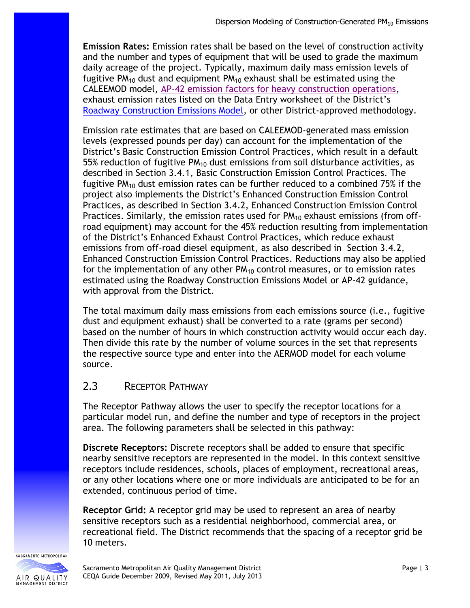**Emission Rates:** Emission rates shall be based on the level of construction activity and the number and types of equipment that will be used to grade the maximum daily acreage of the project. Typically, maximum daily mass emission levels of fugitive  $PM_{10}$  dust and equipment  $PM_{10}$  exhaust shall be estimated using the CALEEMOD model, [AP-42 emission factors for heavy construction operations,](http://www.epa.gov/ttn/chief/ap42/ch13/final/c13s02-3.pdf) exhaust emission rates listed on the Data Entry worksheet of the District's [Roadway Construction Emissions Model,](http://www.airquality.org/Businesses/CEQA-Land-Use-Planning/CEQA-Guidance-Tools) or other District-approved methodology.

Emission rate estimates that are based on CALEEMOD-generated mass emission levels (expressed pounds per day) can account for the implementation of the District's Basic Construction Emission Control Practices, which result in a default 55% reduction of fugitive  $PM_{10}$  dust emissions from soil disturbance activities, as described in Section 3.4.1, Basic Construction Emission Control Practices. The fugitive  $PM_{10}$  dust emission rates can be further reduced to a combined 75% if the project also implements the District's Enhanced Construction Emission Control Practices, as described in Section 3.4.2, Enhanced Construction Emission Control Practices. Similarly, the emission rates used for  $PM_{10}$  exhaust emissions (from offroad equipment) may account for the 45% reduction resulting from implementation of the District's Enhanced Exhaust Control Practices, which reduce exhaust emissions from off-road diesel equipment, as also described in Section 3.4.2, Enhanced Construction Emission Control Practices. Reductions may also be applied for the implementation of any other  $PM_{10}$  control measures, or to emission rates estimated using the Roadway Construction Emissions Model or AP-42 guidance, with approval from the District.

The total maximum daily mass emissions from each emissions source (i.e., fugitive dust and equipment exhaust) shall be converted to a rate (grams per second) based on the number of hours in which construction activity would occur each day. Then divide this rate by the number of volume sources in the set that represents the respective source type and enter into the AERMOD model for each volume source.

## 2.3 RECEPTOR PATHWAY

The Receptor Pathway allows the user to specify the receptor locations for a particular model run, and define the number and type of receptors in the project area. The following parameters shall be selected in this pathway:

**Discrete Receptors:** Discrete receptors shall be added to ensure that specific nearby sensitive receptors are represented in the model. In this context sensitive receptors include residences, schools, places of employment, recreational areas, or any other locations where one or more individuals are anticipated to be for an extended, continuous period of time.

**Receptor Grid:** A receptor grid may be used to represent an area of nearby sensitive receptors such as a residential neighborhood, commercial area, or recreational field. The District recommends that the spacing of a receptor grid be 10 meters.

SACRAMENTO METROPOLITAN AIR QUALITY **MANAGEMENT DISTRIC**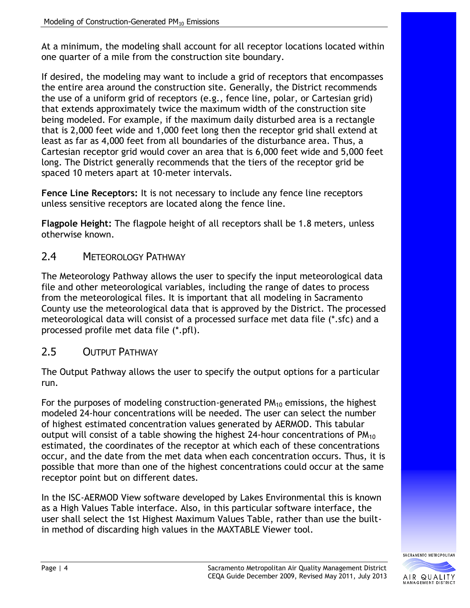At a minimum, the modeling shall account for all receptor locations located within one quarter of a mile from the construction site boundary.

If desired, the modeling may want to include a grid of receptors that encompasses the entire area around the construction site. Generally, the District recommends the use of a uniform grid of receptors (e.g., fence line, polar, or Cartesian grid) that extends approximately twice the maximum width of the construction site being modeled. For example, if the maximum daily disturbed area is a rectangle that is 2,000 feet wide and 1,000 feet long then the receptor grid shall extend at least as far as 4,000 feet from all boundaries of the disturbance area. Thus, a Cartesian receptor grid would cover an area that is 6,000 feet wide and 5,000 feet long. The District generally recommends that the tiers of the receptor grid be spaced 10 meters apart at 10-meter intervals.

**Fence Line Receptors:** It is not necessary to include any fence line receptors unless sensitive receptors are located along the fence line.

**Flagpole Height:** The flagpole height of all receptors shall be 1.8 meters, unless otherwise known.

#### 2.4 METEOROLOGY PATHWAY

The Meteorology Pathway allows the user to specify the input meteorological data file and other meteorological variables, including the range of dates to process from the meteorological files. It is important that all modeling in Sacramento County use the meteorological data that is approved by the District. The processed meteorological data will consist of a processed surface met data file (\*.sfc) and a processed profile met data file (\*.pfl).

#### 2.5 OUTPUT PATHWAY

The Output Pathway allows the user to specify the output options for a particular run.

For the purposes of modeling construction-generated  $PM_{10}$  emissions, the highest modeled 24-hour concentrations will be needed. The user can select the number of highest estimated concentration values generated by AERMOD. This tabular output will consist of a table showing the highest 24-hour concentrations of  $PM_{10}$ estimated, the coordinates of the receptor at which each of these concentrations occur, and the date from the met data when each concentration occurs. Thus, it is possible that more than one of the highest concentrations could occur at the same receptor point but on different dates.

In the ISC-AERMOD View software developed by Lakes Environmental this is known as a High Values Table interface. Also, in this particular software interface, the user shall select the 1st Highest Maximum Values Table, rather than use the builtin method of discarding high values in the MAXTABLE Viewer tool.